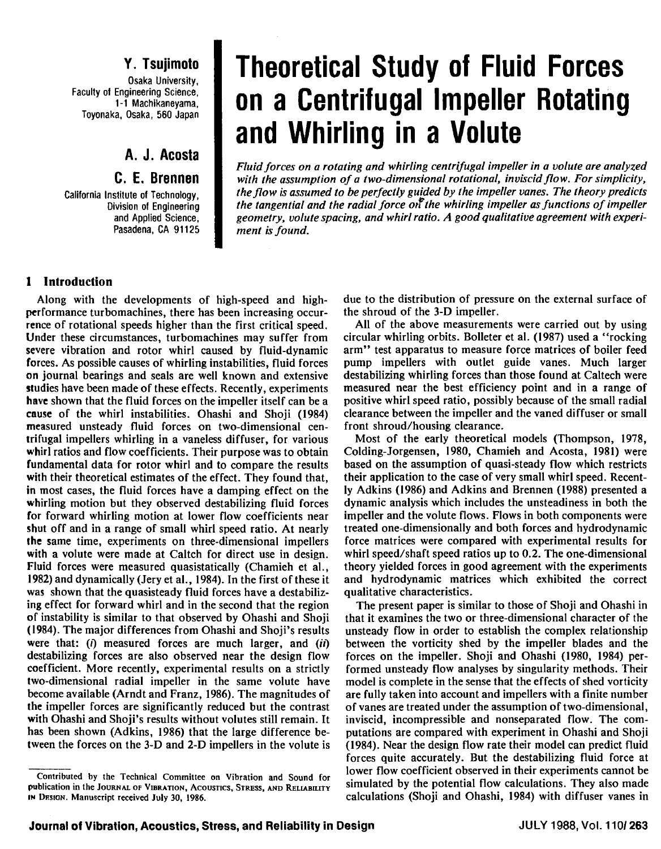Faculty of Engineering Science,<br>1-1 Machikaneyama, Toyonaka, Osaka, 560 Japan

**A. J. Acosta** 

# **C. E. Brennen**

California Institute of Technology, Division of Engineering and Applied Science, Pasadena, CA 91125

# **Y. Tsujimoto | Theoretical Study of Fluid Forces Engineering Science, Indianal Centrifugal Impeller Rotating and Whirling in a Volute**

*Fluid forces on a rotating and whirling centrifugal impeller in a volute are analyzed with the assumption of a two-dimensional rotational, inviscid flow. For simplicity, theflow is assumed to be perfectly guided by the impeller vanes. The theory predicts the tangential and the radial force of the whirling impeller as functions of impeller geometry, volute spacing, and whirl ratio. A good qualitative agreement with experiment is found.* 

## **1 Introduction**

Along with the developments of high-speed and highperformance turbomachines, there has been increasing occurrence of rotational speeds higher than the first critical speed. Under these circumstances, turbomachines may suffer from severe vibration and rotor whirl caused by fluid-dynamic forces. As possible causes of whirling instabilities, fluid forces **on** journal bearings and seals are well known and extensive studies have been made of these effects. Recently, experiments have shown that the fluid forces on the impeller itself can be a **cause** of the whirl instabilities. Ohashi and Shoji (1984) measured unsteady fluid forces on two-dimensional centrifugal impellers whirling in a vaneless diffuser, for various whirl ratios and flow coefficients. Their purpose was to obtain fundamental data for rotor whirl and to compare the results with their theoretical estimates of the effect. They found that, **in** most cases, the fluid forces have a damping effect on the whirling motion but they observed destabilizing fluid forces for forward whirling motion at lower flow coefficients near shut off and in a range of small whirl speed ratio. At nearly the same time, experiments on three-dimensional impellers with a volute were made at Caltch for direct use in design. Fluid forces were measured quasistatically (Chamieh et al., 1982) and dynamically (Jery et al., 1984). In the first of these it was shown that the quasisteady fluid forces have a destabilizing effect for forward whirl and in the second that the region of instability is similar to that observed by Ohashi and Shoji (1984). The major differences from Ohashi and Shoji's results were that: (i) measured forces are much larger, and *(ii)* destabilizing forces are also observed near the design flow coefficient. More recently, experimental results on a strictly two-dimensional radial impeller in the same volute have become available (Arndt and Franz, 1986). The magnitudes of the impeller forces are significantly reduced but the contrast with Ohashi and Shoji's results without volutes still remain. It has been shown (Adkins, 1986) that the large difference between the forces on the 3-D and 2-D impellers in the volute is due to the distribution of pressure on the external surface of the shroud of the 3-D impeller.

All of the above measurements were carried out by using circular whirling orbits. Bolleter et al. (1987) used a "rocking arm" test apparatus to measure force matrices of boiler feed pump impellers with outlet guide vanes. Much larger destabilizing whirling forces than those found at Caltech were measured near the best efficiency point and in a range of positive whirl speed ratio, possibly because of the small radial clearance between the impeller and the vaned diffuser or small front shroud/housing clearance.

Most of the early theoretical models (Thompson, 1978, Colding-Jorgensen, 1980, Chamieh and Acosta, 1981) were based on the assumption of quasi-steady flow which restricts their application to the case of very small whirl speed. Recently Adkins (1986) and Adkins and Brennen (1988) presented a dynamic analysis which includes the unsteadiness in both the impeller and the volute flows. Flows in both components were treated one-dimensionally and both forces and hydrodynamic force matrices were compared with experimental results for whirl speed/shaft speed ratios up to 0.2. The one-dimensional theory yielded forces in good agreement with the experiments and hydrodynamic matrices which exhibited the correct qualitative characteristics.

The present paper is similar to those of Shoji and Ohashi in that it examines the two or three-dimensional character of the unsteady flow in order to establish the complex relationship between the vorticity shed by the impeller blades and the forces on the impeller. Shoji and Ohashi (1980, 1984) performed unsteady flow analyses by singularity methods. Their model is complete in the sense that the effects of shed vorticity are fully taken into account and impellers with a finite number of vanes are treated under the assumption of two-dimensional, inviscid, incompressible and nonseparated flow. The computations are compared with experiment in Ohashi and Shoji (1984). Near the design flow rate their model can predict fluid forces quite accurately. But the destabilizing fluid force at lower flow coefficient observed in their experiments cannot be simulated by the potential flow calculations. They also made calculations (Shoji and Ohashi, 1984) with diffuser vanes in

**Contributed by the Technical Committee on Vibration and Sound for publication in the JOURNAL OF VIBRA~ON, ACOUSTICS, STRESS, AND RELIABILITY IN DESION. Manuscript received July 30, 1986.**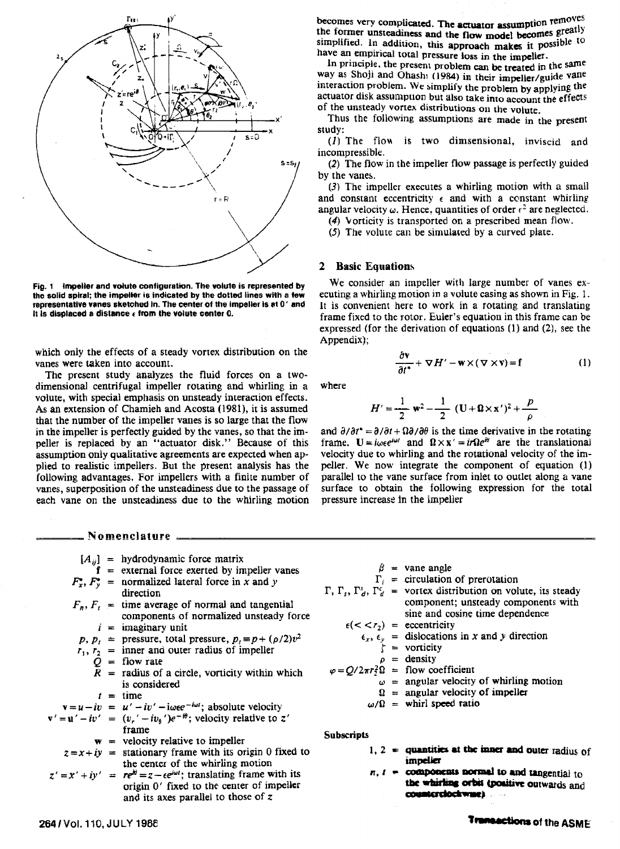

**Fig. 1 Impeller and vdute configuration. The volute is represented by the solid spiral; the impelkr is indicated by the dotted lines with a tew representative vanes sketohed in. The center of the impeller is st 0' and it is dloplaced a distance** *r* **from the volute center 0.** 

which only the effects of a steady vortex distribution **on** the vanes were taken into account.

The present study analyzes the fluid forces on a twodimensional centrifugal impeller rotating and whirling in a volute, with special emphasis on unsteady interaction effects. As an extension of Chamieh and Acosta (1981), it is assumed that the number of the impeller vanes is so large that the flow in the impeller is perfectly guided by the vanes, so that the impeller is replaced by an "actuator disk." Because of this assumption only qualitative agreements are expected when applied to realistic impellers. But the present analysis has the following advantages. For impellers with a finite number of vanes, superposition of the unsteadiness due to the passage of each vane on the unsteadiness due to the whirling motion

**Nomenclature** 

$$
[A_{ij}] = \text{hydrodynamic force matrix}
$$
\n
$$
\mathbf{f} = \text{external force exerted by impeller vanes}
$$
\n
$$
F_x^*, F_y^* = \text{normalized lateral force in } x \text{ and } y
$$
\ndirection\n
$$
F_n, F_t = \text{time average of normal and tangential components of normalized unsteady force}
$$
\n
$$
i = \text{imaginary unit}
$$
\n
$$
p, p_t = \text{pressure, total pressure}, p_t = p + (p/2)v^2
$$
\n
$$
r_1, r_2 = \text{inner and outer radius of impeller}
$$
\n
$$
Q = \text{flow rate}
$$
\n
$$
R = \text{radius of a circle, vorticity within which is considered}
$$
\n
$$
t = \text{time}
$$
\n
$$
\mathbf{v} = \mathbf{u} - i\mathbf{v} = \mathbf{u}' - i\mathbf{v}' - i\omega e^{-i\omega t}; \text{ absolute velocity}
$$
\n
$$
\mathbf{v}' = \mathbf{u}' - i\mathbf{v}' = (v_y' - i v_\theta')e^{-i\theta}; \text{ velocity relative to } z'
$$
\n
$$
\text{frame}
$$
\n
$$
\mathbf{w} = \text{velocity relative to impeller}
$$
\n
$$
z = x + iy = \text{stationary frame with its origin 0 fixed to the center of the whirling motion}
$$
\n
$$
z' = x' + iy' = \frac{r e^{i\omega t}}{re^{i\omega}} = z - e e^{i\omega t}; \text{ translating frame with its origin 0'} \text{ fixed to the center of impeller and its axes parallel to those of } z
$$

becomes very complicated. The **actuator** assumption removes the former unsteadiness and the flow model becomes greatly simplified. In addition, this approach makes it possible to have an empirical total pressure loss in the impeller.

In principle, the present problem can be treated in the same way as Shoji and Ohashi (1984) in their impeller/guide vane interaction problem. We simplify the problem by applying the actuator disk assumption but also take into account the effects of the unsteady vortex distributions on the volute.

Thus the following assumptions are made in the present study:

(1) The flow is two dimsensional, inviscid and incompressible.

(2) The flow in the impeller flow passage is perfectly guided

(3) The impeller executes a whirling motion with a small and constant eccentricity  $\epsilon$  and with a constant whirling angular velocity  $\omega$ . Hence, quantities of order  $\epsilon^2$  are neglected.

(4) Vorticity is transported on a prescribed mean flow.

(5) The volute can be simulated by a curved plate.

We consider an impeller **with** large number of vanes executing a whirling motion in a volute casing as shown in Fig. 1. It is convenient here to work in a rotating and translating frame fixed to the rotor. Euler's equation in this frame can be expressed (for the derivation of equations (1) and **(2),** see the Appendix);

where

$$
H' = \frac{1}{2} \mathbf{w}^2 - \frac{1}{2} (\mathbf{U} + \mathbf{\Omega} \times \mathbf{x}')^2 + \frac{p}{\rho}
$$

 $\frac{\partial \mathbf{v}}{\partial t^*} + \nabla H' - \mathbf{w} \times (\nabla \times \mathbf{v}) = \mathbf{f}$ 

 $(1)$ 

and  $\partial/\partial t^* = \partial/\partial t + \Omega \partial/\partial \theta$  is the time derivative in the rotating frame.  $\mathbf{U} = i\omega \epsilon e^{i\omega t}$  and  $\mathbf{\Omega} \times \mathbf{x}' = i\tau \Omega e^{i\theta}$  are the translational velocity due to whirling and the rotational velocity of the impeller. We now integrate the component of equation (I) parallel to the vane surface from inlet to outlet along a vane surface to obtain the following expression for the total pressure increase in the impelier

| $\beta$ = vane angle<br>$\Gamma_i$ = circulation of prerotation<br>$\Gamma$ , $\Gamma_s$ , $\Gamma_d$ , $\Gamma_d$ = vortex distribution on volute, its steady<br>component; unsteady components with<br>sine and cosine time dependence |
|------------------------------------------------------------------------------------------------------------------------------------------------------------------------------------------------------------------------------------------|
| $\epsilon(<\langle r_2 \rangle$ = eccentricity                                                                                                                                                                                           |
| $\epsilon_x$ , $\epsilon_y$ = dislocations in x and y direction                                                                                                                                                                          |
| $\zeta$ = vorticity                                                                                                                                                                                                                      |
| $\rho$ = density                                                                                                                                                                                                                         |
| $\varphi = Q/2\pi r_2^2 \Omega$ = flow coefficient                                                                                                                                                                                       |
| $\omega$ = angular velocity of whirling motion                                                                                                                                                                                           |
| $\Omega$ = angular velocity of impeller                                                                                                                                                                                                  |
| $\omega/\Omega$ = whirl speed ratio                                                                                                                                                                                                      |
|                                                                                                                                                                                                                                          |

**Subscripts** 

- $1, 2$  = quantities at the inner and outer radius of impeller
- $n, t =$  components normal to and tangential to the whirling orbit (positive outwards and counterclockware)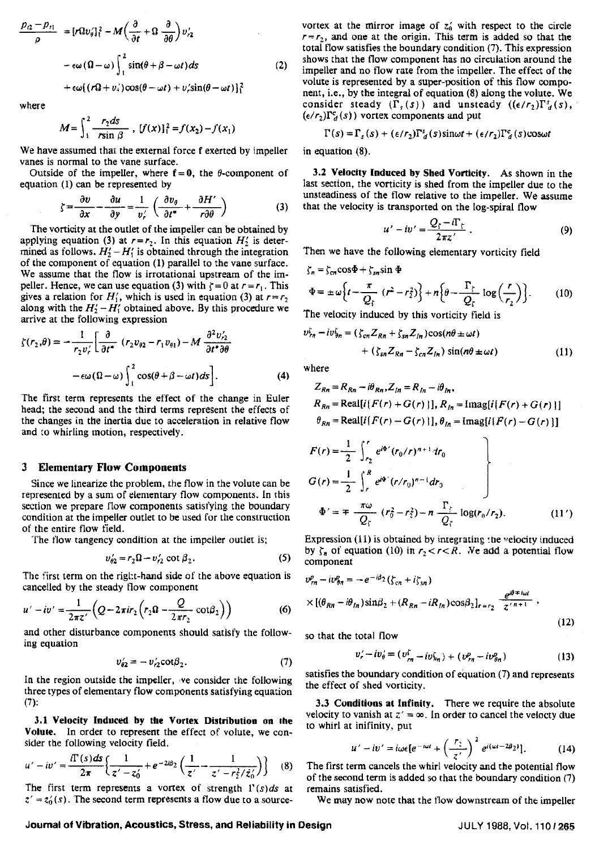$$
\frac{p_{i2} - p_{i1}}{\rho} = [r\Omega v_{\theta}']_1^2 - M\left(\frac{\partial}{\partial t} + \Omega \frac{\partial}{\partial \theta}\right) v'_{i2}
$$

$$
- \epsilon \omega (\Omega - \omega) \int_1^2 \sin(\theta + \beta - \omega t) ds \qquad (2)
$$

$$
+ \epsilon \omega [r\Omega + v_4] \cos(\theta - \omega t) + v'_i \sin(\theta - \omega t)]_1^2
$$

where

$$
M = \int_{1}^{2} \frac{r_2 ds}{r \sin \beta}, \ [f(x)]_{1}^{2} = f(x_2) - f(x_1)
$$

We have assumed that the external force f exerted by impeller vanes is normal to the vane surface.

Outside of the impeller, where  $f = 0$ , the  $\theta$ -component of equation (1) can be represented by

$$
\zeta = \frac{\partial v}{\partial x} - \frac{\partial u}{\partial y} = \frac{1}{v'_r} \left( \frac{\partial v_\theta}{\partial t^*} + \frac{\partial H'}{r \partial \theta} \right) \tag{3}
$$

The vorticity at the outlet of the impeller can be obtained by applying equation (3) at  $r=r_2$ . In this equation  $H'_2$  is determined as follows.  $H'_2 - H'_1$  is obtained through the integration of the component of equation (1) parallel to the vane surface. We assume that the flow is irrotational upstream of the impeller. Hence, we can use equation (3) with  $\zeta = 0$  at  $r = r_1$ . This gives a relation for  $H'_1$ , which is used in equation (3) at  $r=r_2$ , along with the  $H_2' - H_1'$  obtained above. By this procedure we arrive at the following expression

$$
\zeta(r_2,\theta) = -\frac{1}{r_2 v'_r} \left[ \frac{\partial}{\partial t^*} \left( r_2 v_{\theta 2} - r_1 v_{\theta 1} \right) - M \frac{\partial^2 v'_2}{\partial t^* \partial \theta} -\epsilon \omega (\Omega - \omega) \int_1^2 \cos(\theta + \beta - \omega t) ds \right].
$$
 (4)

The first term represents the effect of the change in Euler head; the second and the third terms represent the effects of the changes in the inertia due to acceleration in relative flow and *:o* whirling motion, respectively.

## **3 Elementary Flow Components**

Since we linearize the problem, the flow in the volute can be represented by a sum of elenlentary flow components. In this section we prepare flow components satisfying the boundary condition at the impeller outlet to be used for the construction of the entire flow field. -- I'he flow tangency condition at the impeller outiet is;

$$
v'_{\theta 2} = r_2 \Omega - v'_{r2} \cot \beta_2.
$$
 (5)

The first term on the right-hand side of the above equation is cancelled by the steady flow component

$$
u'-iv'=\frac{1}{2\pi z'}\Big(Q-2\pi i r_2\Big(r_2\Omega-\frac{Q}{2\pi r_2}\cot\beta_2\Big)\Big)
$$
 (6)

and other disturbance components should satisfy the following equation

$$
v_{\theta 2} = -v_{r2}^{\prime} \cot \beta_2. \tag{7}
$$

In the region outside the impeller, ve consider the following three types of elementary flow components satisfying equation (7):

3.1 Velocity Induced by the Vortex Distribution **on the Volute.** In order to represent the effect of volute, we consider the following velocity field.

$$
u'-iv' = \frac{i\Gamma(s)ds}{2\pi} \left\{ \frac{1}{z'-z'_0} + e^{-2i\beta_2} \left( \frac{1}{z'} - \frac{1}{z'-r_2^2/\bar{z}'_0} \right) \right\}
$$
(8)

The first term represents a vortex of strength  $\Gamma(s)ds$  at  $z' = z'_0(s)$ . The second term represents a flow due to a sourcevortex at the mirror image of  $z'_{0}$  with respect to the circle  $r=r<sub>2</sub>$ , and one at the origin. This term is added so that the total flow satisfies the boundary condition (7). This expression shows that the flow component has no circulation around the impeller and no flow rate from the impeller. The effect of the volute is represented by a super-position of rhis flow component, i.e., by the integral of equation (8) dong the voiute. We consider steady  $(\Gamma_s(s))$  and unsteady  $((\epsilon/r_2)\Gamma_d^s(s))$ ,  $(\epsilon/r_2)\Gamma_d^c(s)$  vortex components and put

$$
\Gamma(s) = \Gamma_s(s) + (\epsilon/r_2)\Gamma_d^s(s)\sin\omega t + (\epsilon/r_2)\Gamma_d^c(s)\cos\omega t
$$

in equation (8).

3.2 Velocity Induced by Shed **Vorticity.** As shown in the last section, the vorticity is shed from the impdler due to the unsteadiness of the flow relative to the impeller. We assume that the velocity is transported on the log-spiral flow

$$
u'-iv'=\frac{Q_{\zeta}-i\Gamma_{\zeta}}{2\pi z'}.
$$
 (9)

Then we have the following elementary vorticity field

$$
\zeta_n = \zeta_{cn} \cos \Phi + \zeta_{sn} \sin \Phi
$$
  
\n
$$
\Phi = \pm \omega \left\{ t - \frac{\pi}{Q_f} \left( r^2 - r_2^2 \right) \right\} + n \left\{ \theta - \frac{\Gamma_f}{Q_f} \log \left( \frac{r}{r_2} \right) \right\}. \tag{10}
$$

The velocity induced by this vorticity field is

$$
v_{\tau n}^{\zeta} - i v_{\theta n}^{\zeta} = (\zeta_{cn} Z_{Rn} + \zeta_{sn} Z_{In}) \cos(n\theta \pm \omega t)
$$
  
+ (\zeta\_{sn} Z\_{Rn} - \zeta\_{cn} Z\_{In}) \sin(n\theta \pm \omega t) \t(1)

where

$$
Z_{Rn} = R_{Rn} - i\theta_{Rn}, Z_{In} = R_{In} - i\theta_{In},
$$
  
\n
$$
R_{Rn} = \text{Real}[i\{F(r) + G(r)\}], R_{In} = \text{Imag}[i\{F(r) + G(r)\}]
$$
  
\n
$$
\theta_{Rn} = \text{Real}[i\{F(r) - G(r)\}], \theta_{In} = \text{Imag}[i\{F(r) - G(r)\}]
$$

$$
F(r) = \frac{1}{2} \int_{r_2}^r e^{i\Phi'} (r_0/r)^{n+1} dr_0
$$
  
\n
$$
G(r) = \frac{1}{2} \int_{r}^R e^{i\Phi'} (r/r_0)^{n-1} dr_0
$$
  
\n
$$
\Phi' = \mp \frac{\pi \omega}{Q_f} (r_0^2 - r_2^2) - \pi \frac{\Gamma_f}{Q_f} \log(r_0/r_2).
$$
 (11')

Expression  $(11)$  is obtained by integrating the velocity induced by  $\zeta_n$  of equation (10) in  $r_2 < r < R$ . We add a potential flow component

$$
v_{rn}^{p} - i v_{\theta n}^{p} = -e^{-i\beta_{2}} (\zeta_{cn} + i\zeta_{sn})
$$
  
 
$$
\times [(\theta_{Rn} - i\theta_{ln}) \sin \beta_{2} + (R_{Rn} - iR_{ln}) \cos \beta_{2}]_{r=r_{2}} \frac{e^{i\theta + i\omega t}}{z^{r_{n+1}}},
$$
(12)

so that the total flow

$$
v'_{r} - iv'_{\theta} = (v^r_{rn} - iv^r_{\theta n}) + (v^p_{rn} - iv^p_{\theta n})
$$
 (13)

satisfies the boundary condition of equation **(7)** and represents the effect of shed vorticity.

3.3 **Conditions** at infinity. There we require the absolute velocity to vanish at  $z' = \infty$ . In order to cancel the velocty due to whirl at inifinity, put

$$
u'-iv'=i\omega\epsilon[e^{-i\omega t}+\left(\frac{r_2}{z'}\right)^2e^{i(\omega t-2\beta_2)}].
$$
 (14)

The first term cancels the whirl velocity and the potential flow of the second term is added so that the boundary condition **(7)**  remains satisfied.

We **may** now note that the flow downstream of the impeller

Journal of Vibration, Acoustics, Stress, and Reliability in Design **JULY 1988, Vot. 110/265** JULY 1988, Vot. 110/265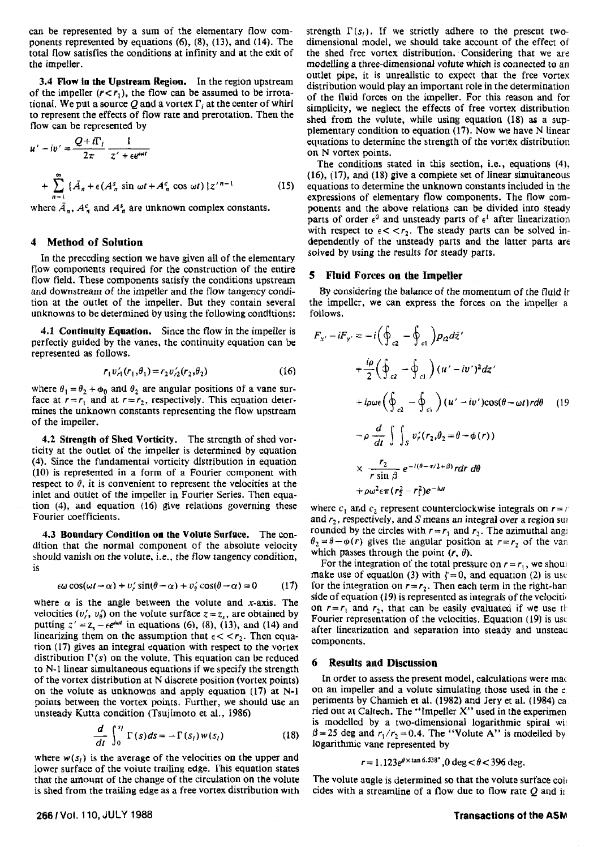can be represented by a sum of the elementary flow com-<br>ponents represented by equations (6), (8), (13), and (14). The dimensional model, we should take account of the effect of ponents represented by equations  $(6)$ ,  $(8)$ ,  $(13)$ , and  $(14)$ . The total flow satisfies the conditions at infinity and at the exit of the shed free vortex distribution. Considering that we are the impeller.<br>modelling a three-dimensional volute which is connected to an

**3.4 Flow in the Upstream Region.** In the region upstream of the impeller  $(r < r_1)$ , the flow can be assumed to be irrotational. We put a source Q and a vortex  $\Gamma_i$  at the center of whirl to represent the effects of flow rate and prerotation. Then the flow **can** be represented by

$$
u' - iv' = \frac{Q + iT_i}{2\pi} \frac{1}{z' + \epsilon e^{i\omega t}}
$$
  
+ 
$$
\sum_{n=1}^{\infty} \left\{ \bar{A}_n + \epsilon (A_n^s \sin \omega t + A_n^c \cos \omega t) \right\} z'^{n-1}
$$
 (15)

where  $\bar{A}_n$ ,  $A_n^c$  and  $A_n^s$  are unknown complex constants.

## **4 Method of Solution**

In the preceding section we have given ail of the elementary flow components required for the construction of the entire flow field. These components satisfy the conditions upstream and downstream **of** the impeller and the flow tangency condition at the outlet of the impeller. But they contain several unknowns to be determined by using the following conditions:

**4.1 Continuity Equation.** Since the flow in the impeller is perfectly guided by the vanes, the continuity equation can be represented as follows.

$$
r_1 v_{r1}'(r_1, \theta_1) = r_2 v_{r2}'(r_2, \theta_2)
$$
 (16)

where  $\theta_1 = \theta_2 + \phi_0$  and  $\theta_2$  are angular positions of a vane surface at  $r = r_1$  and at  $r = r_2$ , respectively. This equation determines the unknown constants representing the flow upstream of the impeller.

**4.2 Strength of Shed Vorticity.** The strength of shed vorticity at the outlet of the impeller is determined by equation (4). Since the fundamental vorticity distribution in equation **(10)** is represented in a form of a Fourier component with respect to  $\theta$ , it is convenient to represent the velocities at the inlet and outlet of the impeller in Fourier Series. Then equation **(4).** and equation **(16)** give relations governing these Fourier coefficients.

**4.3 Boundary Condition on the Volute Surface.** The condition that the normal component of the absolute velocity should vanish on the volute, i.e., the flow tangency condition, is

$$
\epsilon \omega \cos(\omega t - \alpha) + v_r' \sin(\theta - \alpha) + v_s' \cos(\theta - \alpha) = 0 \tag{17}
$$

where  $\alpha$  is the angle between the volute and *x*-axis. The velocities  $(v'_i, v'_i)$  on the volute surface  $z = z_{s}$ , are obtained by putting  $z' = z_s - \epsilon e^{i\omega t}$  in equations (6), (8), (13), and (14) and linearizing them on the assumption that  $\epsilon < r_2$ . Then equation (17) gives an integral equation with respect to the vortex distribution  $\Gamma(s)$  on the volute. This equation can be reduced to **N-1** linear simultaneous equations if we specify the strength of the vortex distribution at N discrete position (vortex points) on the volute as unknowns and apply equation (17) at N-1 points between the vortex points. Further, we should use an unsteady Kutta condition (Tsujirnoto et al., 1986)

$$
\frac{d}{dt}\int_0^{s_l}\Gamma(s)ds = -\Gamma(s_l)w(s_l)
$$
\n(18)

where  $w(s_i)$  is the average of the velocities on the upper and lower surface of the volute trailing edge. This equation states that the amount of the change of the circulation on the volute is shed from the trailing edge as a free vortex distribution with

the impeller.<br>
<sup>2</sup> *A* Flow in the Unstream Pecion In the region unstream outlet pipe, it is unrealistic to expect that the free vortex distribution would play **an** important role in the determination of the fluid forces on the impeller. For this reason and for simplicity, we neglect the effects of free vortex distribution shed from the volute, while using equation (18) as a supplementary condition to equation (17). Now we have N linear equations to determine the strength of the vortex distribution on **N** vortex points.

> The conditions stated in this section, i.e., equations (4), **(16), (17),** and (18) give a complete set of linear simultaneous equations to determine the unknown constants included in the expressions of elementary flow components. The flow components and the above relations can be divided into steady parts of order  $\epsilon^0$  and unsteady parts of  $\epsilon^1$  after linearization with respect to  $\epsilon < r_2$ . The steady parts can be solved independently of the unsteady parts and the latter parts are solved by using the results for steady parts.

#### **5 Fluid Forces on the Impeller**

**By** considering the balance of the momentum of the fluid ir the impeller, we can express the forces on the impeller a follows.

$$
F_{x'} - iF_{y'} = -i\left(\oint_{c2} - \oint_{c1}\right) p_2 d\bar{z}'
$$
  
+  $\frac{i\rho}{2} \left(\oint_{c2} - \oint_{c1}\right) (u' - iv')^2 dz'$   
+  $i\rho \omega \epsilon \left(\oint_{c2} - \oint_{c1}\right) (u' - iv') \cos(\theta - \omega t) r d\theta$  (19)  
-  $\rho \frac{d}{dt} \int \int_{S} v_r'(r_2, \theta_2 = \theta - \phi(r))$   
 $\times \frac{r_2}{r \sin \beta} e^{-i(\theta - \pi/2 + \beta)} r dr d\theta$   
+  $\rho \omega^2 \epsilon \pi (r_2^2 - r_1^2) e^{-i\omega t}$ 

where  $c_1$  and  $c_2$  represent counterclockwise integrals on  $r = r$ and *r,,* respectively, and **S** means an integral over a region **sur**  rounded by the circles with  $r = r_1$  and  $r_2$ . The azimuthal angi  $\theta_2 = \theta - \phi(r)$  gives the angular position at  $r = r_2$  of the vari which passes through the point  $(r, \theta)$ .

For the integration of the total pressure on  $r = r_1$ , we shoul make use of equation (3) with  $\zeta = 0$ , and equation (2) is use for the integration on  $r = r_2$ . Then each term in the right-han side of equation (19) is represented as integrals of the velocities **on**  $r = r_1$  and  $r_2$ , that can be easily evaluated if we use the Fourier representation of the velocities. Equation **(19)** is usc after linearization and separation into steady and unstead components.

#### **6 Results and Discussion**

In order to assess the present model, calculations were made on an impeller and a volute simulating those used in the e periments by Chamieh et al. (1982) and Jery et al. (1984) ca ried out at Caltech. The "Impeller **X"** used in the experimen is modelled by a two-dimensional logarithmic spiral with  $\beta$  = 25 deg and  $r_1/r_2$  = 0.4. The "Volute A" is modelled by logarithmic vane represented by

$$
r = 1.123e^{\theta \times \tan 6.538^*}, 0 \text{ deg} < \theta < 396 \text{ deg}.
$$

The volute angle is determined so that the volute surface coir cides with a streamline of a flow due to flow rate  $Q$  and  $\mathbf{i}$ 

#### **266 1 Vol. 110, JULY 1988 Transactions of the ASM**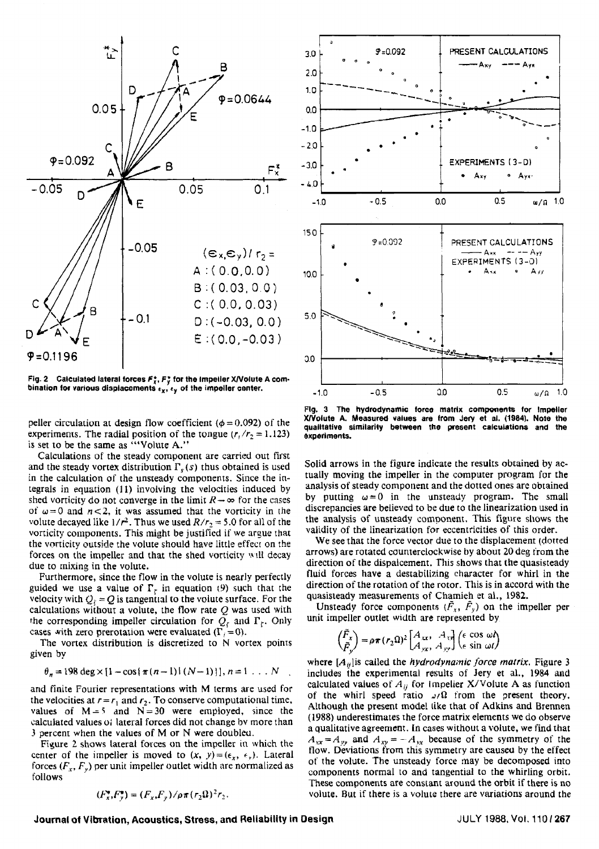

**Fig- 2 Calculated lateral forces F;, F3 for the Impeller Wolute A corn**bination for various displacements  $\epsilon_{\mathbf{x}}$ ,  $\epsilon_{\mathbf{y}}$  of the impeller center.

peller circulation at design flow coefficient  $(\phi = 0.092)$  of the experiments. The radial position of the tongue  $(r_1/r_2 = 1.123)$ **is** set to be the same as "'Volute **A."** 

Calculations of the steady component are carried out fint and the steady vortex distribution  $\Gamma_s(s)$  thus obtained is used in the calculation of the unsteady components. Since the integrals in equation (11) involving the velocities induced by shed vorticity do not converge in the limit  $R \rightarrow \infty$  for the cases of  $\omega = 0$  and  $n < 2$ , it was assumed that the vorticity in the volute decayed like  $1/r^2$ . Thus we used  $R/r_2 = 5.0$  for all of the vorticity components. This might be justified if we argue that the vorticity outside the volute should have little effect on the forces on the impeller and that the shed vorticity will decay due to mixing in the volute.

Furthermore, since the flow in the volute is nearly perfectly guided we use a value of  $\Gamma_{\epsilon}$  in equation (9) such that the velocity with  $Q_i = Q$  is tangential to the volute surface. For the calculations without a volute, the flow rate  $Q$  was used with the corresponding impeller circulation for  $Q_c$  and  $\Gamma_c$ . Only cases with zero prerotation were evaluated  $(\Gamma, = 0)$ .

The vortex distribution is discretized to N vortex points given by

$$
\theta_n = 198 \deg \times [1 - \cos (\pi (n-1)) (N-1))], n = 1 ... N
$$

and finite Fourier representations with M terms are used for the velocities at  $r = r_1$  and  $r_2$ . To conserve computational time, values of  $M = 5$  and  $N = 30$  were employed, since the calculated values **o;** lateral forces did not change bv more than 3 percent when the values of M or N were doubleu.

Figure 2 shows lateral forces on the impeller in which the center of the impelier is moved to  $(x, y) = (\epsilon_x, \epsilon_y)$ . Lateral forces  $(F_x, F_y)$  per unit impeller outlet width are normalized as follows

$$
(F_x^*, F_y^*) = (F_x, F_y) / \rho \pi (r_2 \Omega)^2 r_2.
$$



**Flg. 3** The **hydrodynamic force matrix components for Impeller XIVolute A. Measured values are from Jery et al. (1984). Note the qualitatlve similarity between the present calculations and the experiments.** 

Solid arrows in the figure indicate the resuits obtained by actually moving the impeller in the computer program for the analysis of steady component and the dotted ones are obtained by putting  $\omega = 0$  in the unsteady program. The small discrepancies are believed to be due to the linearization used in the analysis of unsteady comoonent. This figure shows the validity of the linearrzation for eccentricities **of** this order.

We see that the force vector due to the displacement **(dotted**  arrows) are rotated counterclockwise by about 20 deg trom the direction of the dispalcement. This shows that the quasisteady fluid forces have a destabilizing character for whirl in the direction of the rotation of the rotor. This is in accord with the quasisteady measurements of Chamieh et al., 1982.

Unsteady force components  $(\tilde{F}_x, \tilde{F}_y)$  on the impeller per unit impeller outlet width are represented by

$$
\begin{pmatrix} \tilde{F}_x \\ \tilde{F}_y \end{pmatrix} = \rho \pi (r_2 \Omega)^2 \begin{bmatrix} A_{xx}, & A_{yy} \\ A_{yx}, & A_{yy} \end{bmatrix} \begin{pmatrix} \epsilon \cos \omega t \\ \epsilon \sin \omega t \end{pmatrix}
$$

where  $[A_{ij}]$  is called the *hydrodynamic force matrix*. Figure 3 includes the experimental results of Jery et al., 1984 and calculated values of  $A_{ij}$  for Impelier X/Volute A as function of the whirl speed ratio  $J/\Omega$  from the present theory. Although the present model tike that of Adkins and Brennen (1988) underestimates the force matrix elements we do observe a qualitative agreement. In cases without a volute, we find that  $A_{xx} = A_{yy}$  and  $A_{xy} = -A_{yx}$  because of the symmetry of the flow. Deviations from this symmetry are caused by the effect of the volute. The unsteady force may be decomposed into components normal to and tangential to the whirling orbit. These components are constant around the orbit if there is no volute. But if there is a volute there are variations around the

**Journal of Vibration, Acoustics, Stress, and Reliability in Design <b>July 1988, Vol. 1101 267 JULY 1988, Vol. 1101 267**